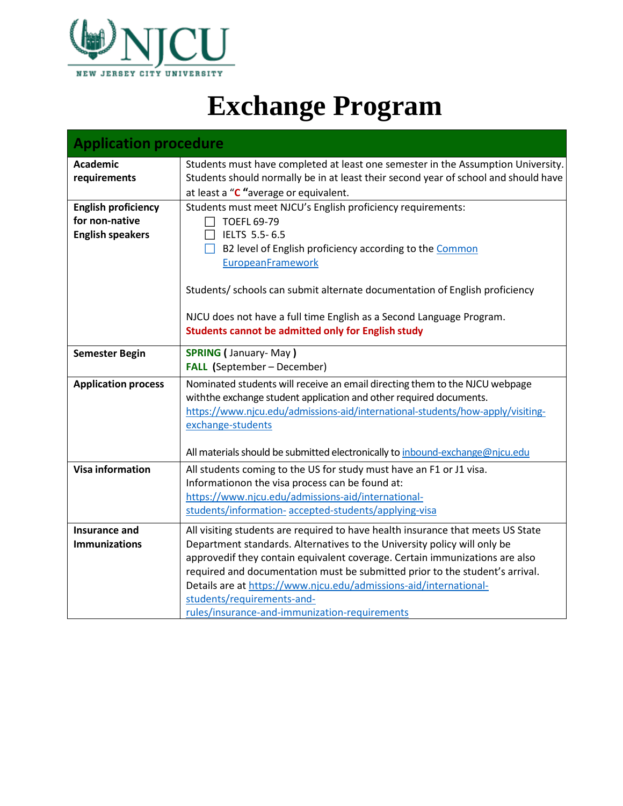

## **Exchange Program**

| <b>Application procedure</b>                 |                                                                                                                                                                         |  |
|----------------------------------------------|-------------------------------------------------------------------------------------------------------------------------------------------------------------------------|--|
| <b>Academic</b><br>requirements              | Students must have completed at least one semester in the Assumption University.<br>Students should normally be in at least their second year of school and should have |  |
|                                              | at least a "C "average or equivalent.                                                                                                                                   |  |
| <b>English proficiency</b><br>for non-native | Students must meet NJCU's English proficiency requirements:                                                                                                             |  |
|                                              | <b>TOEFL 69-79</b>                                                                                                                                                      |  |
| <b>English speakers</b>                      | IELTS 5.5-6.5                                                                                                                                                           |  |
|                                              | B2 level of English proficiency according to the Common<br>$\mathsf{L}$                                                                                                 |  |
|                                              | EuropeanFramework                                                                                                                                                       |  |
|                                              | Students/ schools can submit alternate documentation of English proficiency                                                                                             |  |
|                                              | NJCU does not have a full time English as a Second Language Program.                                                                                                    |  |
|                                              | <b>Students cannot be admitted only for English study</b>                                                                                                               |  |
| <b>Semester Begin</b>                        | <b>SPRING (January-May)</b>                                                                                                                                             |  |
|                                              | <b>FALL</b> (September - December)                                                                                                                                      |  |
| <b>Application process</b>                   | Nominated students will receive an email directing them to the NJCU webpage                                                                                             |  |
|                                              | with the exchange student application and other required documents.                                                                                                     |  |
|                                              | https://www.njcu.edu/admissions-aid/international-students/how-apply/visiting-                                                                                          |  |
|                                              | exchange-students                                                                                                                                                       |  |
|                                              | All materials should be submitted electronically to inbound-exchange@njcu.edu                                                                                           |  |
|                                              |                                                                                                                                                                         |  |
| <b>Visa information</b>                      | All students coming to the US for study must have an F1 or J1 visa.                                                                                                     |  |
|                                              | Informationon the visa process can be found at:<br>https://www.njcu.edu/admissions-aid/international-                                                                   |  |
|                                              | students/information-accepted-students/applying-visa                                                                                                                    |  |
|                                              |                                                                                                                                                                         |  |
| <b>Insurance and</b>                         | All visiting students are required to have health insurance that meets US State                                                                                         |  |
| <b>Immunizations</b>                         | Department standards. Alternatives to the University policy will only be                                                                                                |  |
|                                              | approvedif they contain equivalent coverage. Certain immunizations are also                                                                                             |  |
|                                              | required and documentation must be submitted prior to the student's arrival.                                                                                            |  |
|                                              | Details are at https://www.njcu.edu/admissions-aid/international-                                                                                                       |  |
|                                              | students/requirements-and-                                                                                                                                              |  |
|                                              | rules/insurance-and-immunization-requirements                                                                                                                           |  |